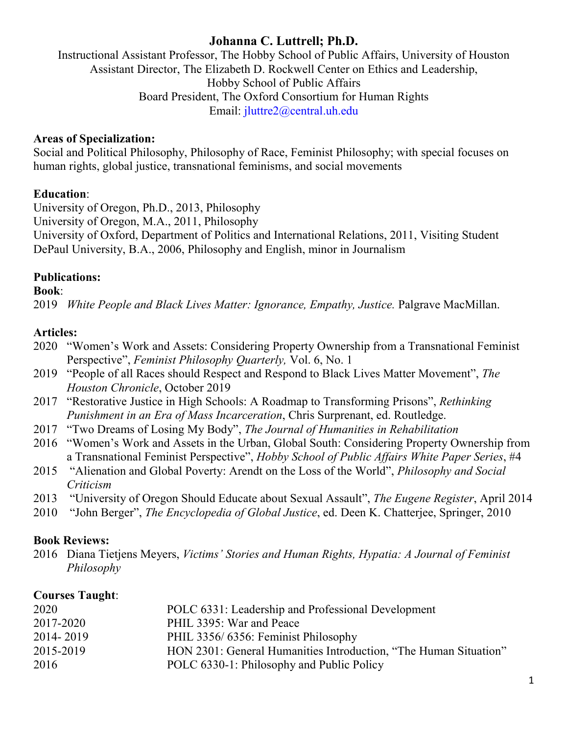# **Johanna C. Luttrell; Ph.D.**

Instructional Assistant Professor, The Hobby School of Public Affairs, University of Houston Assistant Director, The Elizabeth D. Rockwell Center on Ethics and Leadership, Hobby School of Public Affairs Board President, The Oxford Consortium for Human Rights Email: jluttre2@central.uh.edu

## **Areas of Specialization:**

Social and Political Philosophy, Philosophy of Race, Feminist Philosophy; with special focuses on human rights, global justice, transnational feminisms, and social movements

## **Education**:

University of Oregon, Ph.D., 2013, Philosophy University of Oregon, M.A., 2011, Philosophy University of Oxford, Department of Politics and International Relations, 2011, Visiting Student DePaul University, B.A., 2006, Philosophy and English, minor in Journalism

# **Publications:**

#### **Book**:

2019 *White People and Black Lives Matter: Ignorance, Empathy, Justice. Palgrave MacMillan.* 

# **Articles:**

- 2020 "Women's Work and Assets: Considering Property Ownership from a Transnational Feminist Perspective", *Feminist Philosophy Quarterly,* Vol. 6, No. 1
- 2019 "People of all Races should Respect and Respond to Black Lives Matter Movement", *The Houston Chronicle*, October 2019
- 2017 "Restorative Justice in High Schools: A Roadmap to Transforming Prisons", *Rethinking Punishment in an Era of Mass Incarceration*, Chris Surprenant, ed. Routledge.
- 2017 "Two Dreams of Losing My Body", *The Journal of Humanities in Rehabilitation*
- 2016 "Women's Work and Assets in the Urban, Global South: Considering Property Ownership from a Transnational Feminist Perspective", *Hobby School of Public Affairs White Paper Series*, #4
- 2015 "Alienation and Global Poverty: Arendt on the Loss of the World", *Philosophy and Social Criticism*
- 2013 "University of Oregon Should Educate about Sexual Assault", *The Eugene Register*, April 2014
- 2010 "John Berger", *The Encyclopedia of Global Justice*, ed. Deen K. Chatterjee, Springer, 2010

# **Book Reviews:**

2016 Diana Tietjens Meyers, *Victims' Stories and Human Rights, Hypatia: A Journal of Feminist Philosophy*

# **Courses Taught**:

| 2020      | POLC 6331: Leadership and Professional Development               |
|-----------|------------------------------------------------------------------|
| 2017-2020 | PHIL 3395: War and Peace                                         |
| 2014-2019 | PHIL 3356/6356: Feminist Philosophy                              |
| 2015-2019 | HON 2301: General Humanities Introduction, "The Human Situation" |
| 2016      | POLC 6330-1: Philosophy and Public Policy                        |
|           |                                                                  |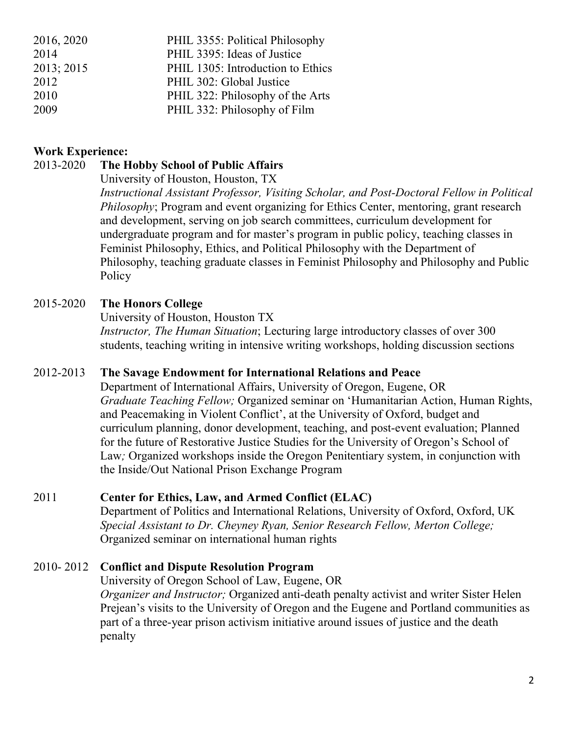| 2016, 2020 | PHIL 3355: Political Philosophy   |
|------------|-----------------------------------|
| 2014       | PHIL 3395: Ideas of Justice       |
| 2013; 2015 | PHIL 1305: Introduction to Ethics |
| 2012       | PHIL 302: Global Justice          |
| 2010       | PHIL 322: Philosophy of the Arts  |
| 2009       | PHIL 332: Philosophy of Film      |

#### **Work Experience:**

#### 2013-2020 **The Hobby School of Public Affairs**

University of Houston, Houston, TX

*Instructional Assistant Professor, Visiting Scholar, and Post-Doctoral Fellow in Political Philosophy*; Program and event organizing for Ethics Center, mentoring, grant research and development, serving on job search committees, curriculum development for undergraduate program and for master's program in public policy, teaching classes in Feminist Philosophy, Ethics, and Political Philosophy with the Department of Philosophy, teaching graduate classes in Feminist Philosophy and Philosophy and Public Policy

#### 2015-2020 **The Honors College**

University of Houston, Houston TX *Instructor, The Human Situation*; Lecturing large introductory classes of over 300 students, teaching writing in intensive writing workshops, holding discussion sections

#### 2012-2013 **The Savage Endowment for International Relations and Peace**

Department of International Affairs, University of Oregon, Eugene, OR *Graduate Teaching Fellow;* Organized seminar on 'Humanitarian Action, Human Rights, and Peacemaking in Violent Conflict', at the University of Oxford, budget and curriculum planning, donor development, teaching, and post-event evaluation; Planned for the future of Restorative Justice Studies for the University of Oregon's School of Law*;* Organized workshops inside the Oregon Penitentiary system, in conjunction with the Inside/Out National Prison Exchange Program

#### 2011 **Center for Ethics, Law, and Armed Conflict (ELAC)**

Department of Politics and International Relations, University of Oxford, Oxford, UK *Special Assistant to Dr. Cheyney Ryan, Senior Research Fellow, Merton College;*  Organized seminar on international human rights

#### 2010- 2012 **Conflict and Dispute Resolution Program**

University of Oregon School of Law, Eugene, OR *Organizer and Instructor;* Organized anti-death penalty activist and writer Sister Helen Prejean's visits to the University of Oregon and the Eugene and Portland communities as part of a three-year prison activism initiative around issues of justice and the death penalty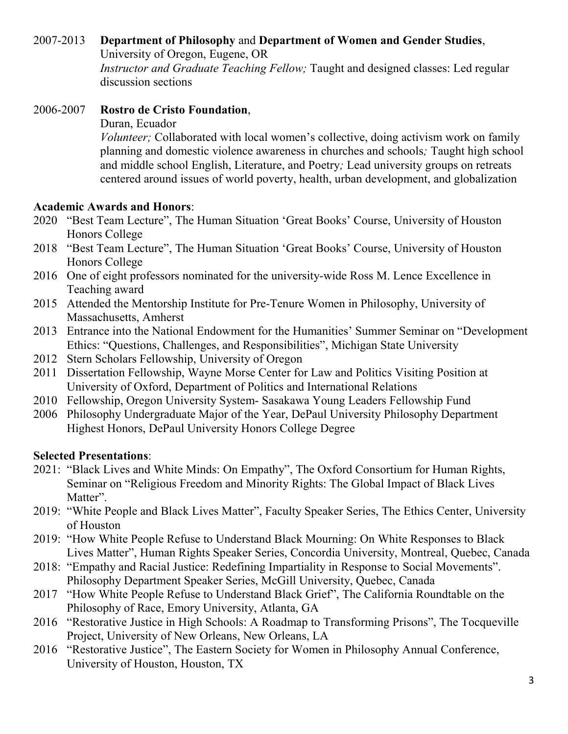## 2007-2013 **Department of Philosophy** and **Department of Women and Gender Studies**,

University of Oregon, Eugene, OR *Instructor and Graduate Teaching Fellow;* Taught and designed classes: Led regular discussion sections

### 2006-2007 **Rostro de Cristo Foundation**,

Duran, Ecuador

*Volunteer;* Collaborated with local women's collective, doing activism work on family planning and domestic violence awareness in churches and schools*;* Taught high school and middle school English, Literature, and Poetry*;* Lead university groups on retreats centered around issues of world poverty, health, urban development, and globalization

#### **Academic Awards and Honors**:

- 2020 "Best Team Lecture", The Human Situation 'Great Books' Course, University of Houston Honors College
- 2018 "Best Team Lecture", The Human Situation 'Great Books' Course, University of Houston Honors College
- 2016 One of eight professors nominated for the university-wide Ross M. Lence Excellence in Teaching award
- 2015 Attended the Mentorship Institute for Pre-Tenure Women in Philosophy, University of Massachusetts, Amherst
- 2013 Entrance into the National Endowment for the Humanities' Summer Seminar on "Development Ethics: "Questions, Challenges, and Responsibilities", Michigan State University
- 2012 Stern Scholars Fellowship, University of Oregon
- 2011 Dissertation Fellowship, Wayne Morse Center for Law and Politics Visiting Position at University of Oxford, Department of Politics and International Relations
- 2010 Fellowship, Oregon University System- Sasakawa Young Leaders Fellowship Fund
- 2006 Philosophy Undergraduate Major of the Year, DePaul University Philosophy Department Highest Honors, DePaul University Honors College Degree

### **Selected Presentations**:

- 2021: "Black Lives and White Minds: On Empathy", The Oxford Consortium for Human Rights, Seminar on "Religious Freedom and Minority Rights: The Global Impact of Black Lives Matter".
- 2019: "White People and Black Lives Matter", Faculty Speaker Series, The Ethics Center, University of Houston
- 2019: "How White People Refuse to Understand Black Mourning: On White Responses to Black Lives Matter", Human Rights Speaker Series, Concordia University, Montreal, Quebec, Canada
- 2018: "Empathy and Racial Justice: Redefining Impartiality in Response to Social Movements". Philosophy Department Speaker Series, McGill University, Quebec, Canada
- 2017 "How White People Refuse to Understand Black Grief", The California Roundtable on the Philosophy of Race, Emory University, Atlanta, GA
- 2016 "Restorative Justice in High Schools: A Roadmap to Transforming Prisons", The Tocqueville Project, University of New Orleans, New Orleans, LA
- 2016 "Restorative Justice", The Eastern Society for Women in Philosophy Annual Conference, University of Houston, Houston, TX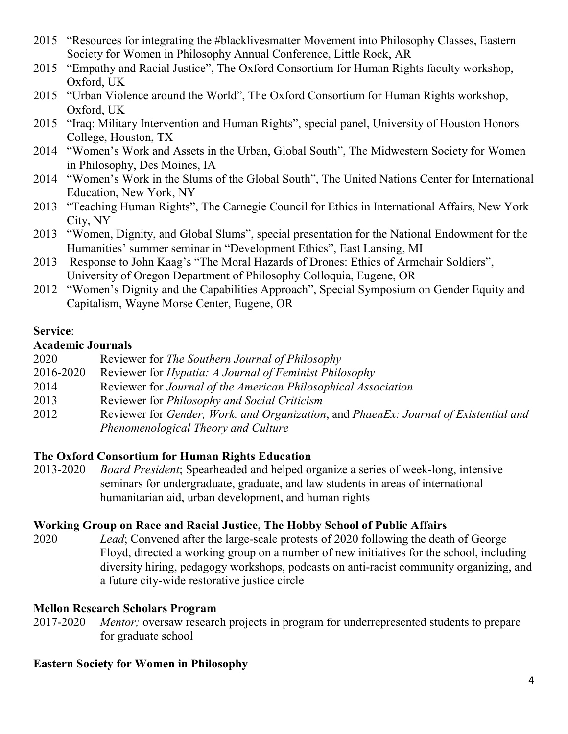- 2015 "Resources for integrating the #blacklivesmatter Movement into Philosophy Classes, Eastern Society for Women in Philosophy Annual Conference, Little Rock, AR
- 2015 "Empathy and Racial Justice", The Oxford Consortium for Human Rights faculty workshop, Oxford, UK
- 2015 "Urban Violence around the World", The Oxford Consortium for Human Rights workshop, Oxford, UK
- 2015 "Iraq: Military Intervention and Human Rights", special panel, University of Houston Honors College, Houston, TX
- 2014 "Women's Work and Assets in the Urban, Global South", The Midwestern Society for Women in Philosophy, Des Moines, IA
- 2014 "Women's Work in the Slums of the Global South", The United Nations Center for International Education, New York, NY
- 2013 "Teaching Human Rights", The Carnegie Council for Ethics in International Affairs, New York City, NY
- 2013 "Women, Dignity, and Global Slums", special presentation for the National Endowment for the Humanities' summer seminar in "Development Ethics", East Lansing, MI
- 2013 Response to John Kaag's "The Moral Hazards of Drones: Ethics of Armchair Soldiers", University of Oregon Department of Philosophy Colloquia, Eugene, OR
- 2012 "Women's Dignity and the Capabilities Approach", Special Symposium on Gender Equity and Capitalism, Wayne Morse Center, Eugene, OR

# **Service**:

## **Academic Journals**

- 2020 Reviewer for *The Southern Journal of Philosophy*
- 2016-2020 Reviewer for *Hypatia: A Journal of Feminist Philosophy*
- 2014 Reviewer for *Journal of the American Philosophical Association*
- 2013 Reviewer for *Philosophy and Social Criticism*
- 2012 Reviewer for *Gender, Work. and Organization*, and *PhaenEx: Journal of Existential and Phenomenological Theory and Culture*

# **The Oxford Consortium for Human Rights Education**

2013-2020 *Board President*; Spearheaded and helped organize a series of week-long, intensive seminars for undergraduate, graduate, and law students in areas of international humanitarian aid, urban development, and human rights

# **Working Group on Race and Racial Justice, The Hobby School of Public Affairs**

2020 *Lead*; Convened after the large-scale protests of 2020 following the death of George Floyd, directed a working group on a number of new initiatives for the school, including diversity hiring, pedagogy workshops, podcasts on anti-racist community organizing, and a future city-wide restorative justice circle

# **Mellon Research Scholars Program**

2017-2020 *Mentor;* oversaw research projects in program for underrepresented students to prepare for graduate school

# **Eastern Society for Women in Philosophy**